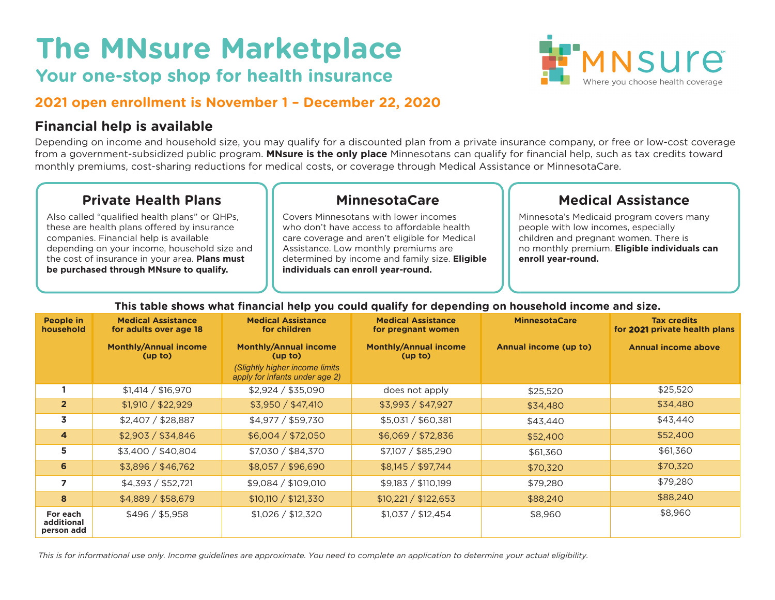# **The MNsure Marketplace**

# **Your one-stop shop for health insurance**



#### **2021 open enrollment is November 1 – December 22, 2020**

#### **Financial help is available**

Depending on income and household size, you may qualify for a discounted plan from a private insurance company, or free or low-cost coverage from a government-subsidized public program. **MNsure is the only place** Minnesotans can qualify for financial help, such as tax credits toward monthly premiums, cost-sharing reductions for medical costs, or coverage through Medical Assistance or MinnesotaCare.

## **Private Health Plans**

Also called "qualified health plans" or QHPs, these are health plans offered by insurance companies. Financial help is available depending on your income, household size and the cost of insurance in your area. **Plans must be purchased through MNsure to qualify.**

## **MinnesotaCare**

Covers Minnesotans with lower incomes who don't have access to affordable health care coverage and aren't eligible for Medical Assistance. Low monthly premiums are determined by income and family size. **Eligible individuals can enroll year-round.**

## **Medical Assistance**

Minnesota's Medicaid program covers many people with low incomes, especially children and pregnant women. There is no monthly premium. **Eligible individuals can enroll year-round.**

| People in<br>household               | <b>Medical Assistance</b><br>for adults over age 18 | <b>Medical Assistance</b><br>for children                                                                    | <b>Medical Assistance</b><br>for pregnant women | <b>MinnesotaCare</b>  | <b>Tax credits</b><br>for 2021 private health plans |
|--------------------------------------|-----------------------------------------------------|--------------------------------------------------------------------------------------------------------------|-------------------------------------------------|-----------------------|-----------------------------------------------------|
|                                      | <b>Monthly/Annual income</b><br>(up to)             | <b>Monthly/Annual income</b><br>(up to)<br>(Slightly higher income limits)<br>apply for infants under age 2) | <b>Monthly/Annual income</b><br>(up to)         | Annual income (up to) | <b>Annual income above</b>                          |
|                                      | \$1,414 / \$16,970                                  | \$2,924 / \$35,090                                                                                           | does not apply                                  | \$25,520              | \$25,520                                            |
| 2 <sup>2</sup>                       | \$1,910 / \$22,929                                  | \$3,950 / \$47,410                                                                                           | \$3,993 / \$47,927                              | \$34,480              | \$34,480                                            |
| 3                                    | \$2,407 / \$28,887                                  | \$4,977 / \$59,730                                                                                           | \$5,031 / \$60,381                              | \$43,440              | \$43,440                                            |
| $\overline{\mathbf{4}}$              | \$2,903 / \$34,846                                  | \$6,004 / \$72,050                                                                                           | \$6,069 / \$72,836                              | \$52,400              | \$52,400                                            |
| 5                                    | \$3,400 / \$40,804                                  | \$7,030 / \$84,370                                                                                           | \$7,107 / \$85,290                              | \$61,360              | \$61,360                                            |
| 6                                    | \$3,896 / \$46,762                                  | \$8,057 / \$96,690                                                                                           | \$8,145 / \$97,744                              | \$70,320              | \$70,320                                            |
| $\overline{ }$                       | \$4,393 / \$52,721                                  | \$9,084 / \$109,010                                                                                          | \$9,183 / \$110,199                             | \$79,280              | \$79,280                                            |
| 8                                    | \$4,889 / \$58,679                                  | \$10,110 / \$121,330                                                                                         | \$10,221 / \$122,653                            | \$88,240              | \$88,240                                            |
| For each<br>additional<br>person add | \$496 / \$5,958                                     | \$1,026 / \$12,320                                                                                           | \$1,037 / \$12,454                              | \$8,960               | \$8,960                                             |

#### **This table shows what financial help you could qualify for depending on household income and size.**

*This is for informational use only. Income guidelines are approximate. You need to complete an application to determine your actual eligibility.*